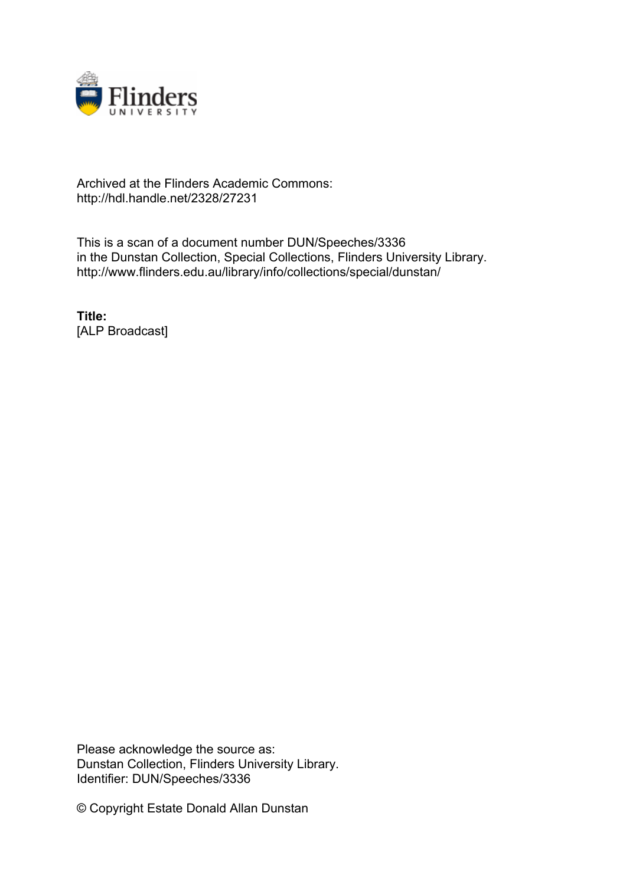

## Archived at the Flinders Academic Commons: http://hdl.handle.net/2328/27231

This is a scan of a document number DUN/Speeches/3336 in the Dunstan Collection, Special Collections, Flinders University Library. http://www.flinders.edu.au/library/info/collections/special/dunstan/

**Title:** [ALP Broadcast]

Please acknowledge the source as: Dunstan Collection, Flinders University Library. Identifier: DUN/Speeches/3336

© Copyright Estate Donald Allan Dunstan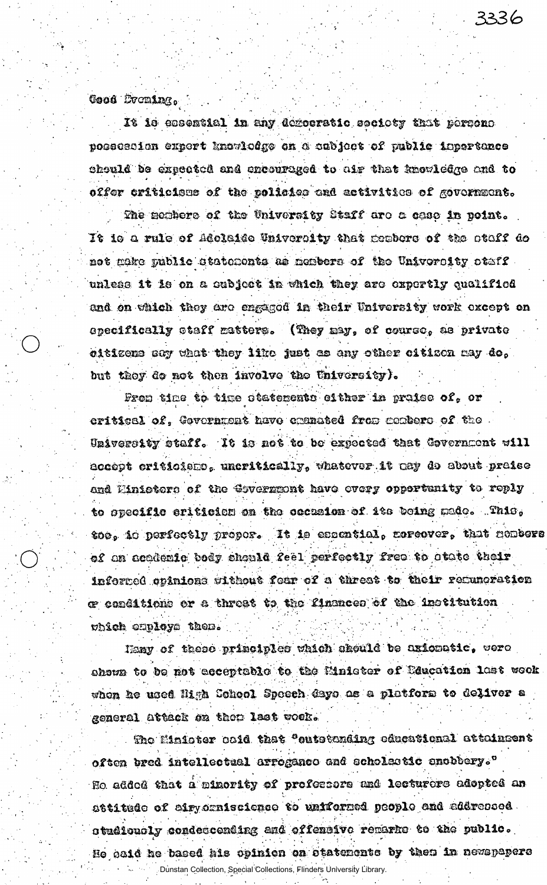Cood Broming,

It is essential in any democratic seciety that persons possession expert knowledge on a cubject of public inportance chould be expected and encouraged to air that knowledge and to offer criticisme of the polisics and activities of government.

3336

The mombers of the University Staff are a case in point. It is a rule of Adolaide University that probers of the staff de not make public statements as members of the University staff. unless it is on a subject in which they are expertly qualified and on which they are engaged in their University work except on opecifically staff matters. (They may, of course, as private eitizene sey what they like just as any other eitizen may do, but they do not then involve the University).

From time to time otatements either in praise of, or critical of, Government have cranated from combers of the University staff. It is not to be expected that Covernment will accept criticismo, uncritically, whatever it any do about praise and Einiotors of the Covernment have every opportunity to reply to opecific criticism on the ceassion of its being made. This, too, io perfectly proper. It is essential, corcover, that nembers of an academic body should feel perfectly free to otate their informed opinions without fear of a threat to their remunoration œ conditions or a threat to the finances of the institution which employs them.

Hany of these principles which should be uricastic, were ahown to be not acceptable to the Minister of Education last wook when he used Migh Cohool Speech days as a platform to deliver a general attack on them last wook.

The Minister said that "cutstanding educational attainsent often bred intellectual arrogance and scholastic anobbery." Ho added that a minority of professors and lecturers adopted an attitude of airyorniscience to uniformed people and addressed. studiously condectending and offensive remarks to the public. He baid he based his opinion on statements by them in newspapers

Dunstan Collection, Special Collections, Flinders University Library.